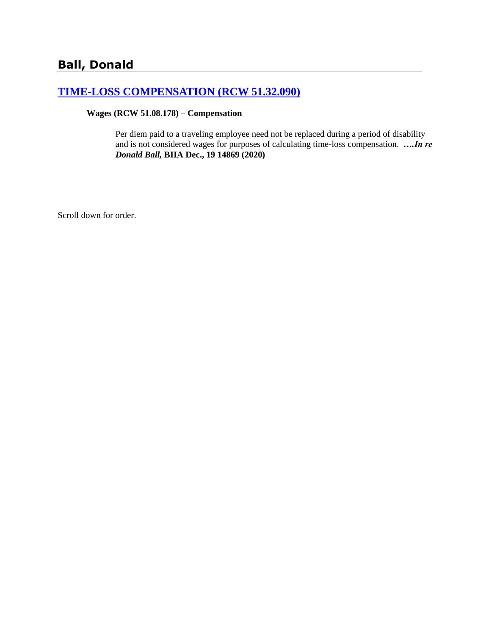# **[TIME-LOSS COMPENSATION \(RCW 51.32.090\)](http://www.biia.wa.gov/SDSubjectIndex.html#TIME_LOSS_COMPENSATION)**

#### **Wages (RCW 51.08.178) – Compensation**

Per diem paid to a traveling employee need not be replaced during a period of disability and is not considered wages for purposes of calculating time-loss compensation. *….In re Donald Ball,* **BIIA Dec., 19 14869 (2020)**

Scroll down for order.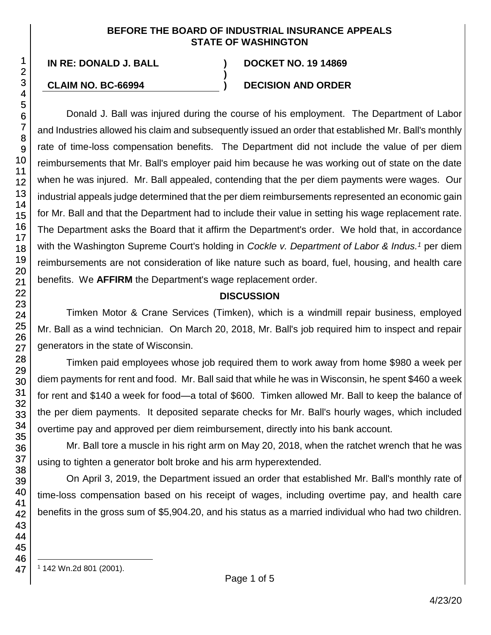#### **BEFORE THE BOARD OF INDUSTRIAL INSURANCE APPEALS STATE OF WASHINGTON**

**)**

**IN RE: DONALD J. BALL ) DOCKET NO. 19 14869**

## **CLAIM NO. BC-66994 ) DECISION AND ORDER**

Donald J. Ball was injured during the course of his employment. The Department of Labor and Industries allowed his claim and subsequently issued an order that established Mr. Ball's monthly rate of time-loss compensation benefits. The Department did not include the value of per diem reimbursements that Mr. Ball's employer paid him because he was working out of state on the date when he was injured. Mr. Ball appealed, contending that the per diem payments were wages. Our industrial appeals judge determined that the per diem reimbursements represented an economic gain for Mr. Ball and that the Department had to include their value in setting his wage replacement rate. The Department asks the Board that it affirm the Department's order. We hold that, in accordance with the Washington Supreme Court's holding in *Cockle v. Department of Labor & Indus. <sup>1</sup>* per diem reimbursements are not consideration of like nature such as board, fuel, housing, and health care benefits. We **AFFIRM** the Department's wage replacement order.

# **DISCUSSION**

Timken Motor & Crane Services (Timken), which is a windmill repair business, employed Mr. Ball as a wind technician. On March 20, 2018, Mr. Ball's job required him to inspect and repair generators in the state of Wisconsin.

Timken paid employees whose job required them to work away from home \$980 a week per diem payments for rent and food. Mr. Ball said that while he was in Wisconsin, he spent \$460 a week for rent and \$140 a week for food—a total of \$600. Timken allowed Mr. Ball to keep the balance of the per diem payments. It deposited separate checks for Mr. Ball's hourly wages, which included overtime pay and approved per diem reimbursement, directly into his bank account.

Mr. Ball tore a muscle in his right arm on May 20, 2018, when the ratchet wrench that he was using to tighten a generator bolt broke and his arm hyperextended.

On April 3, 2019, the Department issued an order that established Mr. Ball's monthly rate of time-loss compensation based on his receipt of wages, including overtime pay, and health care benefits in the gross sum of \$5,904.20, and his status as a married individual who had two children.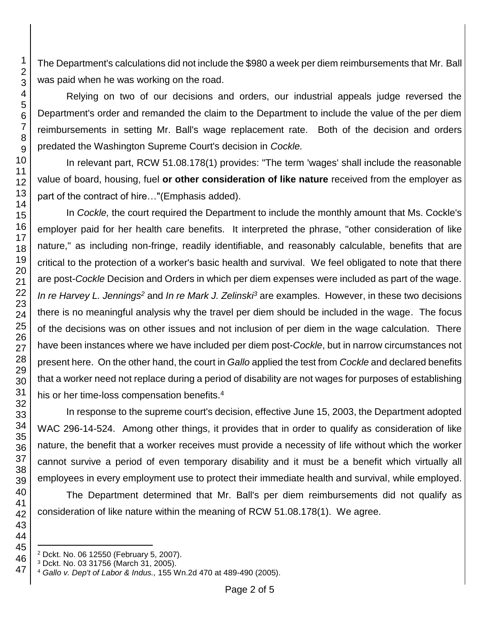The Department's calculations did not include the \$980 a week per diem reimbursements that Mr. Ball was paid when he was working on the road.

Relying on two of our decisions and orders, our industrial appeals judge reversed the Department's order and remanded the claim to the Department to include the value of the per diem reimbursements in setting Mr. Ball's wage replacement rate. Both of the decision and orders predated the Washington Supreme Court's decision in *Cockle.*

In relevant part, RCW 51.08.178(1) provides: "The term 'wages' shall include the reasonable value of board, housing, fuel **or other consideration of like nature** received from the employer as part of the contract of hire…"(Emphasis added).

In *Cockle,* the court required the Department to include the monthly amount that Ms. Cockle's employer paid for her health care benefits. It interpreted the phrase, "other consideration of like nature," as including non-fringe, readily identifiable, and reasonably calculable, benefits that are critical to the protection of a worker's basic health and survival. We feel obligated to note that there are post-*Cockle* Decision and Orders in which per diem expenses were included as part of the wage. *In re Harvey L. Jennings<sup>2</sup>* and *In re Mark J. Zelinski<sup>3</sup>* are examples. However, in these two decisions there is no meaningful analysis why the travel per diem should be included in the wage. The focus of the decisions was on other issues and not inclusion of per diem in the wage calculation. There have been instances where we have included per diem post-*Cockle*, but in narrow circumstances not present here. On the other hand, the court in *Gallo* applied the test from *Cockle* and declared benefits that a worker need not replace during a period of disability are not wages for purposes of establishing his or her time-loss compensation benefits.<sup>4</sup>

In response to the supreme court's decision, effective June 15, 2003, the Department adopted WAC 296-14-524. Among other things, it provides that in order to qualify as consideration of like nature, the benefit that a worker receives must provide a necessity of life without which the worker cannot survive a period of even temporary disability and it must be a benefit which virtually all employees in every employment use to protect their immediate health and survival, while employed.

The Department determined that Mr. Ball's per diem reimbursements did not qualify as consideration of like nature within the meaning of RCW 51.08.178(1). We agree.

l Dckt. No. 06 12550 (February 5, 2007).

Dckt. No. 03 31756 (March 31, 2005).

*Gallo v. Dep't of Labor & Indus.,* 155 Wn.2d 470 at 489-490 (2005).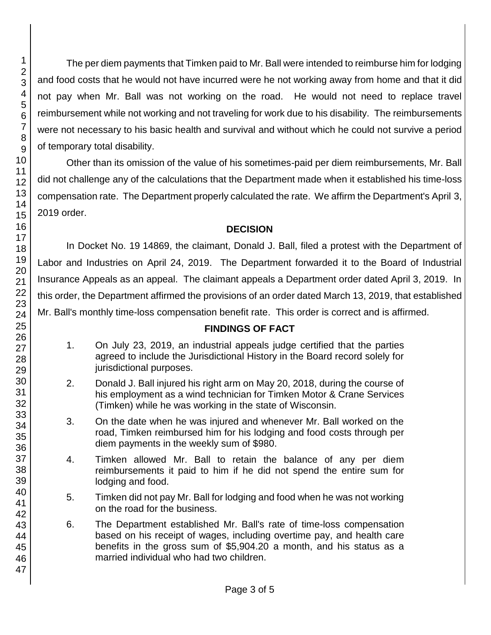The per diem payments that Timken paid to Mr. Ball were intended to reimburse him for lodging and food costs that he would not have incurred were he not working away from home and that it did not pay when Mr. Ball was not working on the road. He would not need to replace travel reimbursement while not working and not traveling for work due to his disability. The reimbursements were not necessary to his basic health and survival and without which he could not survive a period of temporary total disability.

Other than its omission of the value of his sometimes-paid per diem reimbursements, Mr. Ball did not challenge any of the calculations that the Department made when it established his time-loss compensation rate. The Department properly calculated the rate. We affirm the Department's April 3, 2019 order.

## **DECISION**

In Docket No. 19 14869, the claimant, Donald J. Ball, filed a protest with the Department of Labor and Industries on April 24, 2019. The Department forwarded it to the Board of Industrial Insurance Appeals as an appeal. The claimant appeals a Department order dated April 3, 2019. In this order, the Department affirmed the provisions of an order dated March 13, 2019, that established Mr. Ball's monthly time-loss compensation benefit rate. This order is correct and is affirmed.

#### **FINDINGS OF FACT**

- 1. On July 23, 2019, an industrial appeals judge certified that the parties agreed to include the Jurisdictional History in the Board record solely for jurisdictional purposes.
- 2. Donald J. Ball injured his right arm on May 20, 2018, during the course of his employment as a wind technician for Timken Motor & Crane Services (Timken) while he was working in the state of Wisconsin.
- 3. On the date when he was injured and whenever Mr. Ball worked on the road, Timken reimbursed him for his lodging and food costs through per diem payments in the weekly sum of \$980.
- 4. Timken allowed Mr. Ball to retain the balance of any per diem reimbursements it paid to him if he did not spend the entire sum for lodging and food.
- 5. Timken did not pay Mr. Ball for lodging and food when he was not working on the road for the business.
- 6. The Department established Mr. Ball's rate of time-loss compensation based on his receipt of wages, including overtime pay, and health care benefits in the gross sum of \$5,904.20 a month, and his status as a married individual who had two children.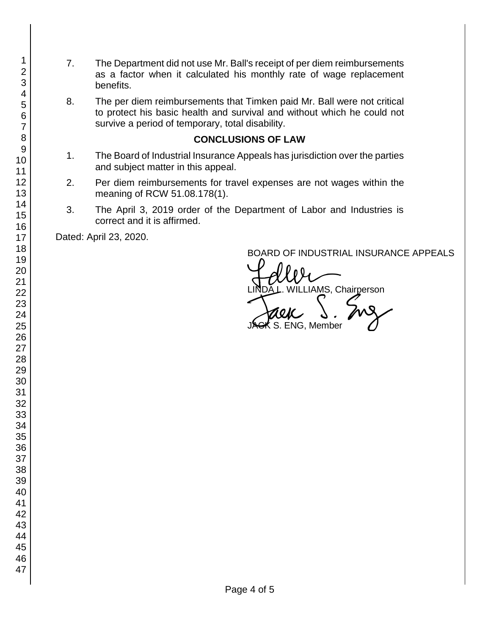- 7. The Department did not use Mr. Ball's receipt of per diem reimbursements as a factor when it calculated his monthly rate of wage replacement benefits.
- 8. The per diem reimbursements that Timken paid Mr. Ball were not critical to protect his basic health and survival and without which he could not survive a period of temporary, total disability.

#### **CONCLUSIONS OF LAW**

- 1. The Board of Industrial Insurance Appeals has jurisdiction over the parties and subject matter in this appeal.
- 2. Per diem reimbursements for travel expenses are not wages within the meaning of RCW 51.08.178(1).
- 3. The April 3, 2019 order of the Department of Labor and Industries is correct and it is affirmed.

Dated: April 23, 2020.

BOARD OF INDUSTRIAL INSURANCE APPEALS

BOARD OF INDUSTRIAL INSURAN<br>LINDA L. WILLIAMS, Chairperson<br>JAGK S. ENG, Member JACK S. ENG. Member